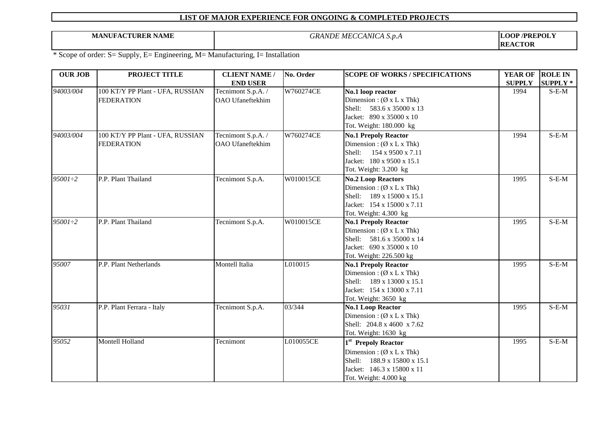**MANUFACTURER NAME** *GRANDE MECCANICA S.p.A*

**LOOP /PREPOLY REACTOR**

| <b>OUR JOB</b> | PROJECT TITLE                    | <b>CLIENT NAME /</b>    | No. Order | <b>SCOPE OF WORKS / SPECIFICATIONS</b> | YEAR OF       | <b>ROLE IN</b>  |
|----------------|----------------------------------|-------------------------|-----------|----------------------------------------|---------------|-----------------|
|                |                                  | <b>END USER</b>         |           |                                        | <b>SUPPLY</b> | <b>SUPPLY *</b> |
| 94003/004      | 100 KT/Y PP Plant - UFA, RUSSIAN | Tecnimont S.p.A. /      | W760274CE | No.1 loop reactor                      | 1994          | $S-E-M$         |
|                | <b>FEDERATION</b>                | OAO Ufaneftekhim        |           | Dimension: $(\emptyset x L x Thk)$     |               |                 |
|                |                                  |                         |           | Shell: 583.6 x 35000 x 13              |               |                 |
|                |                                  |                         |           | Jacket: 890 x 35000 x 10               |               |                 |
|                |                                  |                         |           | Tot. Weight: 180.000 kg                |               |                 |
| 94003/004      | 100 KT/Y PP Plant - UFA, RUSSIAN | Tecnimont S.p.A. /      | W760274CE | <b>No.1 Prepoly Reactor</b>            | 1994          | $S-E-M$         |
|                | <b>FEDERATION</b>                | <b>OAO</b> Ufaneftekhim |           | Dimension: $(\emptyset x L x Thk)$     |               |                 |
|                |                                  |                         |           | Shell: 154 x 9500 x 7.11               |               |                 |
|                |                                  |                         |           | Jacket: 180 x 9500 x 15.1              |               |                 |
|                |                                  |                         |           | Tot. Weight: 3.200 kg                  |               |                 |
| $95001 \div 2$ | P.P. Plant Thailand              | Tecnimont S.p.A.        | W010015CE | <b>No.2 Loop Reactors</b>              | 1995          | $S-E-M$         |
|                |                                  |                         |           | Dimension: $(\emptyset x L x Thk)$     |               |                 |
|                |                                  |                         |           | Shell: 189 x 15000 x 15.1              |               |                 |
|                |                                  |                         |           | Jacket: 154 x 15000 x 7.11             |               |                 |
|                |                                  |                         |           | Tot. Weight: 4.300 kg                  |               |                 |
| $95001 \div 2$ | P.P. Plant Thailand              | Tecnimont S.p.A.        | W010015CE | <b>No.1 Prepoly Reactor</b>            | 1995          | $S-E-M$         |
|                |                                  |                         |           | Dimension: $(\emptyset x L x Thk)$     |               |                 |
|                |                                  |                         |           | Shell: 581.6 x 35000 x 14              |               |                 |
|                |                                  |                         |           | Jacket: 690 x 35000 x 10               |               |                 |
|                |                                  |                         |           | Tot. Weight: 226.500 kg                |               |                 |
| 95007          | P.P. Plant Netherlands           | Montell Italia          | L010015   | <b>No.1 Prepoly Reactor</b>            | 1995          | $S-E-M$         |
|                |                                  |                         |           | Dimension: $(\emptyset x L x Thk)$     |               |                 |
|                |                                  |                         |           | Shell: 189 x 13000 x 15.1              |               |                 |
|                |                                  |                         |           | Jacket: 154 x 13000 x 7.11             |               |                 |
|                |                                  |                         |           | Tot. Weight: 3650 kg                   |               |                 |
| 95031          | P.P. Plant Ferrara - Italy       | Tecnimont S.p.A.        | 03/344    | <b>No.1 Loop Reactor</b>               | 1995          | $S-E-M$         |
|                |                                  |                         |           | Dimension: $(\emptyset x L x Thk)$     |               |                 |
|                |                                  |                         |           | Shell: 204.8 x 4600 x 7.62             |               |                 |
|                |                                  |                         |           | Tot. Weight: 1630 kg                   |               |                 |
| 95052          | Montell Holland                  | Tecnimont               | L010055CE | 1 <sup>st</sup> Prepoly Reactor        | 1995          | $S-E-M$         |
|                |                                  |                         |           | Dimension: $(\emptyset x L x Thk)$     |               |                 |
|                |                                  |                         |           | Shell: 188.9 x 15800 x 15.1            |               |                 |
|                |                                  |                         |           | Jacket: 146.3 x 15800 x 11             |               |                 |
|                |                                  |                         |           | Tot. Weight: 4.000 kg                  |               |                 |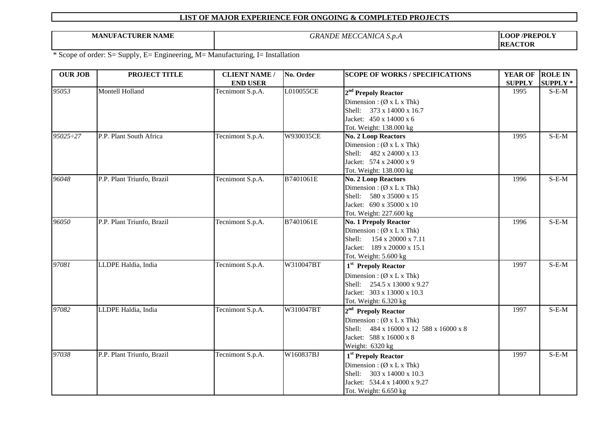**MANUFACTURER NAME** *GRANDE MECCANICA S.p.A*

**LOOP /PREPOLY REACTOR**

| <b>END USER</b><br><b>SUPPLY</b><br>95053<br>Montell Holland<br>L010055CE<br>Tecnimont S.p.A.<br>1995<br>2 <sup>nd</sup> Prepoly Reactor<br>Dimension: $(\emptyset x L x Thk)$<br>Shell: 373 x 14000 x 16.7<br>Jacket: 450 x 14000 x 6<br>Tot. Weight: 138.000 kg<br>95025:27<br>P.P. Plant South Africa<br>Tecnimont S.p.A.<br>W930035CE<br>1995<br><b>No. 2 Loop Reactors</b><br>Dimension: $(\emptyset x L x Thk)$<br>Shell: 482 x 24000 x 13<br>Jacket: 574 x 24000 x 9<br>Tot. Weight: 138.000 kg<br>96048<br>P.P. Plant Triunfo, Brazil<br>Tecnimont S.p.A.<br>B7401061E<br>1996<br><b>No. 2 Loop Reactors</b><br>Dimension: $(\emptyset x L x Thk)$<br>Shell: 580 x 35000 x 15<br>Jacket: 690 x 35000 x 10<br>Tot. Weight: 227.600 kg<br>$S-E-M$<br>96050<br>P.P. Plant Triunfo, Brazil<br>Tecnimont S.p.A.<br>B7401061E<br><b>No. 1 Prepoly Reactor</b><br>1996<br>Dimension: $(\emptyset x L x Thk)$ | <b>OUR JOB</b> | PROJECT TITLE | <b>CLIENT NAME /</b> | No. Order | <b>SCOPE OF WORKS / SPECIFICATIONS</b> | <b>YEAR OF</b> | <b>ROLE IN</b>  |
|---------------------------------------------------------------------------------------------------------------------------------------------------------------------------------------------------------------------------------------------------------------------------------------------------------------------------------------------------------------------------------------------------------------------------------------------------------------------------------------------------------------------------------------------------------------------------------------------------------------------------------------------------------------------------------------------------------------------------------------------------------------------------------------------------------------------------------------------------------------------------------------------------------------|----------------|---------------|----------------------|-----------|----------------------------------------|----------------|-----------------|
|                                                                                                                                                                                                                                                                                                                                                                                                                                                                                                                                                                                                                                                                                                                                                                                                                                                                                                               |                |               |                      |           |                                        |                | <b>SUPPLY *</b> |
|                                                                                                                                                                                                                                                                                                                                                                                                                                                                                                                                                                                                                                                                                                                                                                                                                                                                                                               |                |               |                      |           |                                        |                | $S-E-M$         |
|                                                                                                                                                                                                                                                                                                                                                                                                                                                                                                                                                                                                                                                                                                                                                                                                                                                                                                               |                |               |                      |           |                                        |                |                 |
|                                                                                                                                                                                                                                                                                                                                                                                                                                                                                                                                                                                                                                                                                                                                                                                                                                                                                                               |                |               |                      |           |                                        |                |                 |
|                                                                                                                                                                                                                                                                                                                                                                                                                                                                                                                                                                                                                                                                                                                                                                                                                                                                                                               |                |               |                      |           |                                        |                |                 |
|                                                                                                                                                                                                                                                                                                                                                                                                                                                                                                                                                                                                                                                                                                                                                                                                                                                                                                               |                |               |                      |           |                                        |                |                 |
|                                                                                                                                                                                                                                                                                                                                                                                                                                                                                                                                                                                                                                                                                                                                                                                                                                                                                                               |                |               |                      |           |                                        |                | $S-E-M$         |
|                                                                                                                                                                                                                                                                                                                                                                                                                                                                                                                                                                                                                                                                                                                                                                                                                                                                                                               |                |               |                      |           |                                        |                |                 |
|                                                                                                                                                                                                                                                                                                                                                                                                                                                                                                                                                                                                                                                                                                                                                                                                                                                                                                               |                |               |                      |           |                                        |                |                 |
|                                                                                                                                                                                                                                                                                                                                                                                                                                                                                                                                                                                                                                                                                                                                                                                                                                                                                                               |                |               |                      |           |                                        |                |                 |
|                                                                                                                                                                                                                                                                                                                                                                                                                                                                                                                                                                                                                                                                                                                                                                                                                                                                                                               |                |               |                      |           |                                        |                |                 |
|                                                                                                                                                                                                                                                                                                                                                                                                                                                                                                                                                                                                                                                                                                                                                                                                                                                                                                               |                |               |                      |           |                                        |                | $S-E-M$         |
|                                                                                                                                                                                                                                                                                                                                                                                                                                                                                                                                                                                                                                                                                                                                                                                                                                                                                                               |                |               |                      |           |                                        |                |                 |
|                                                                                                                                                                                                                                                                                                                                                                                                                                                                                                                                                                                                                                                                                                                                                                                                                                                                                                               |                |               |                      |           |                                        |                |                 |
|                                                                                                                                                                                                                                                                                                                                                                                                                                                                                                                                                                                                                                                                                                                                                                                                                                                                                                               |                |               |                      |           |                                        |                |                 |
|                                                                                                                                                                                                                                                                                                                                                                                                                                                                                                                                                                                                                                                                                                                                                                                                                                                                                                               |                |               |                      |           |                                        |                |                 |
|                                                                                                                                                                                                                                                                                                                                                                                                                                                                                                                                                                                                                                                                                                                                                                                                                                                                                                               |                |               |                      |           |                                        |                |                 |
| Shell:<br>154 x 20000 x 7.11                                                                                                                                                                                                                                                                                                                                                                                                                                                                                                                                                                                                                                                                                                                                                                                                                                                                                  |                |               |                      |           |                                        |                |                 |
| Jacket: 189 x 20000 x 15.1                                                                                                                                                                                                                                                                                                                                                                                                                                                                                                                                                                                                                                                                                                                                                                                                                                                                                    |                |               |                      |           |                                        |                |                 |
| Tot. Weight: 5.600 kg                                                                                                                                                                                                                                                                                                                                                                                                                                                                                                                                                                                                                                                                                                                                                                                                                                                                                         |                |               |                      |           |                                        |                |                 |
| LLDPE Haldia, India<br>Tecnimont S.p.A.<br>97081<br>W310047BT<br>1997<br>1 <sup>st</sup> Prepoly Reactor                                                                                                                                                                                                                                                                                                                                                                                                                                                                                                                                                                                                                                                                                                                                                                                                      |                |               |                      |           |                                        |                | $S-E-M$         |
|                                                                                                                                                                                                                                                                                                                                                                                                                                                                                                                                                                                                                                                                                                                                                                                                                                                                                                               |                |               |                      |           |                                        |                |                 |
| Dimension: $(\emptyset x L x Thk)$<br>Shell: 254.5 x 13000 x 9.27                                                                                                                                                                                                                                                                                                                                                                                                                                                                                                                                                                                                                                                                                                                                                                                                                                             |                |               |                      |           |                                        |                |                 |
| Jacket: 303 x 13000 x 10.3                                                                                                                                                                                                                                                                                                                                                                                                                                                                                                                                                                                                                                                                                                                                                                                                                                                                                    |                |               |                      |           |                                        |                |                 |
| Tot. Weight: 6.320 kg                                                                                                                                                                                                                                                                                                                                                                                                                                                                                                                                                                                                                                                                                                                                                                                                                                                                                         |                |               |                      |           |                                        |                |                 |
| LLDPE Haldia, India<br>97082<br>Tecnimont S.p.A.<br>W310047BT<br>1997<br>2 <sup>nd</sup> Prepoly Reactor                                                                                                                                                                                                                                                                                                                                                                                                                                                                                                                                                                                                                                                                                                                                                                                                      |                |               |                      |           |                                        |                | $S-E-M$         |
| Dimension: $(\emptyset x L x Thk)$                                                                                                                                                                                                                                                                                                                                                                                                                                                                                                                                                                                                                                                                                                                                                                                                                                                                            |                |               |                      |           |                                        |                |                 |
| Shell: 484 x 16000 x 12 588 x 16000 x 8                                                                                                                                                                                                                                                                                                                                                                                                                                                                                                                                                                                                                                                                                                                                                                                                                                                                       |                |               |                      |           |                                        |                |                 |
| Jacket: 588 x 16000 x 8                                                                                                                                                                                                                                                                                                                                                                                                                                                                                                                                                                                                                                                                                                                                                                                                                                                                                       |                |               |                      |           |                                        |                |                 |
| Weight: 6320 kg                                                                                                                                                                                                                                                                                                                                                                                                                                                                                                                                                                                                                                                                                                                                                                                                                                                                                               |                |               |                      |           |                                        |                |                 |
| 97038<br>P.P. Plant Triunfo, Brazil<br>Tecnimont S.p.A.<br>W160837BJ<br>1997<br>1 <sup>st</sup> Prepoly Reactor                                                                                                                                                                                                                                                                                                                                                                                                                                                                                                                                                                                                                                                                                                                                                                                               |                |               |                      |           |                                        |                | $S-E-M$         |
| Dimension: $(\emptyset x L x Thk)$                                                                                                                                                                                                                                                                                                                                                                                                                                                                                                                                                                                                                                                                                                                                                                                                                                                                            |                |               |                      |           |                                        |                |                 |
| Shell: 303 x 14000 x 10.3                                                                                                                                                                                                                                                                                                                                                                                                                                                                                                                                                                                                                                                                                                                                                                                                                                                                                     |                |               |                      |           |                                        |                |                 |
| Jacket: 534.4 x 14000 x 9.27                                                                                                                                                                                                                                                                                                                                                                                                                                                                                                                                                                                                                                                                                                                                                                                                                                                                                  |                |               |                      |           |                                        |                |                 |
| Tot. Weight: 6.650 kg                                                                                                                                                                                                                                                                                                                                                                                                                                                                                                                                                                                                                                                                                                                                                                                                                                                                                         |                |               |                      |           |                                        |                |                 |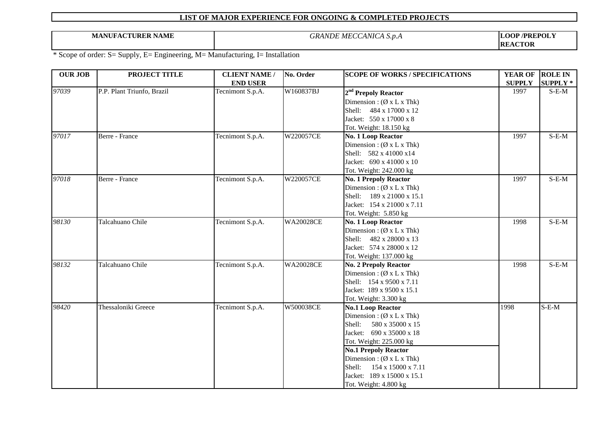**MANUFACTURER NAME** *GRANDE MECCANICA S.p.A*

**LOOP /PREPOLY REACTOR**

| <b>OUR JOB</b> | PROJECT TITLE              | <b>CLIENT NAME /</b> | No. Order        | <b>SCOPE OF WORKS / SPECIFICATIONS</b> | <b>YEAR OF</b> | <b>ROLE IN</b>  |
|----------------|----------------------------|----------------------|------------------|----------------------------------------|----------------|-----------------|
|                |                            | <b>END USER</b>      |                  |                                        | <b>SUPPLY</b>  | <b>SUPPLY</b> * |
| 97039          | P.P. Plant Triunfo, Brazil | Tecnimont S.p.A.     | W160837BJ        | 2 <sup>nd</sup> Prepoly Reactor        | 1997           | $S-E-M$         |
|                |                            |                      |                  | Dimension: $(\emptyset x L x Thk)$     |                |                 |
|                |                            |                      |                  | Shell: 484 x 17000 x 12                |                |                 |
|                |                            |                      |                  | Jacket: 550 x 17000 x 8                |                |                 |
|                |                            |                      |                  | Tot. Weight: 18.150 kg                 |                |                 |
| 97017          | Berre - France             | Tecnimont S.p.A.     | W220057CE        | No. 1 Loop Reactor                     | 1997           | $S-E-M$         |
|                |                            |                      |                  | Dimension: $(\emptyset x L x Thk)$     |                |                 |
|                |                            |                      |                  | Shell: 582 x 41000 x14                 |                |                 |
|                |                            |                      |                  | Jacket: 690 x 41000 x 10               |                |                 |
|                |                            |                      |                  | Tot. Weight: 242.000 kg                |                |                 |
| 97018          | Berre - France             | Tecnimont S.p.A.     | W220057CE        | <b>No. 1 Prepoly Reactor</b>           | 1997           | $S-E-M$         |
|                |                            |                      |                  | Dimension: $(\emptyset x L x Thk)$     |                |                 |
|                |                            |                      |                  | Shell: 189 x 21000 x 15.1              |                |                 |
|                |                            |                      |                  | Jacket: 154 x 21000 x 7.11             |                |                 |
|                |                            |                      |                  | Tot. Weight: 5.850 kg                  |                |                 |
| 98130          | Talcahuano Chile           | Tecnimont S.p.A.     | <b>WA20028CE</b> | No. 1 Loop Reactor                     | 1998           | $S-E-M$         |
|                |                            |                      |                  | Dimension: $(\emptyset x L x Thk)$     |                |                 |
|                |                            |                      |                  | Shell: 482 x 28000 x 13                |                |                 |
|                |                            |                      |                  | Jacket: 574 x 28000 x 12               |                |                 |
|                |                            |                      |                  | Tot. Weight: 137.000 kg                |                |                 |
| 98132          | Talcahuano Chile           | Tecnimont S.p.A.     | <b>WA20028CE</b> | <b>No. 2 Prepoly Reactor</b>           | 1998           | $S-E-M$         |
|                |                            |                      |                  | Dimension: $(\emptyset x L x Thk)$     |                |                 |
|                |                            |                      |                  | Shell: 154 x 9500 x 7.11               |                |                 |
|                |                            |                      |                  | Jacket: 189 x 9500 x 15.1              |                |                 |
|                |                            |                      |                  | Tot. Weight: 3.300 kg                  |                |                 |
| 98420          | Thessaloniki Greece        | Tecnimont S.p.A.     | W500038CE        | <b>No.1 Loop Reactor</b>               | 1998           | $S-E-M$         |
|                |                            |                      |                  | Dimension: $(\emptyset x L x Thk)$     |                |                 |
|                |                            |                      |                  | Shell:<br>580 x 35000 x 15             |                |                 |
|                |                            |                      |                  | Jacket: 690 x 35000 x 18               |                |                 |
|                |                            |                      |                  | Tot. Weight: 225.000 kg                |                |                 |
|                |                            |                      |                  | <b>No.1 Prepoly Reactor</b>            |                |                 |
|                |                            |                      |                  | Dimension: $(\emptyset x L x Thk)$     |                |                 |
|                |                            |                      |                  | Shell: 154 x 15000 x 7.11              |                |                 |
|                |                            |                      |                  | Jacket: 189 x 15000 x 15.1             |                |                 |
|                |                            |                      |                  | Tot. Weight: 4.800 kg                  |                |                 |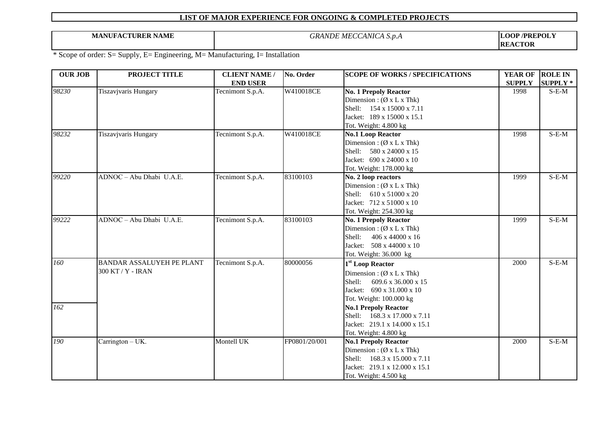**MANUFACTURER NAME** *GRANDE MECCANICA S.p.A*

**LOOP /PREPOLY REACTOR**

| <b>OUR JOB</b> | PROJECT TITLE                    | <b>CLIENT NAME /</b> | No. Order     | <b>SCOPE OF WORKS / SPECIFICATIONS</b> | <b>YEAR OF</b> | <b>ROLE IN</b>  |
|----------------|----------------------------------|----------------------|---------------|----------------------------------------|----------------|-----------------|
|                |                                  | <b>END USER</b>      |               |                                        | <b>SUPPLY</b>  | <b>SUPPLY</b> * |
| 98230          | Tiszavjvaris Hungary             | Tecnimont S.p.A.     | W410018CE     | <b>No. 1 Prepoly Reactor</b>           | 1998           | $S$ -E-M        |
|                |                                  |                      |               | Dimension: $(\emptyset x L x Thk)$     |                |                 |
|                |                                  |                      |               | Shell: 154 x 15000 x 7.11              |                |                 |
|                |                                  |                      |               | Jacket: 189 x 15000 x 15.1             |                |                 |
|                |                                  |                      |               | Tot. Weight: 4.800 kg                  |                |                 |
| 98232          | Tiszavjvaris Hungary             | Tecnimont S.p.A.     | W410018CE     | <b>No.1 Loop Reactor</b>               | 1998           | $S-E-M$         |
|                |                                  |                      |               | Dimension: $(\emptyset x L x Thk)$     |                |                 |
|                |                                  |                      |               | Shell: 580 x 24000 x 15                |                |                 |
|                |                                  |                      |               | Jacket: 690 x 24000 x 10               |                |                 |
|                |                                  |                      |               | Tot. Weight: 178.000 kg                |                |                 |
| 99220          | ADNOC - Abu Dhabi U.A.E.         | Tecnimont S.p.A.     | 83100103      | No. 2 loop reactors                    | 1999           | $S-E-M$         |
|                |                                  |                      |               | Dimension: $(\emptyset x L x Thk)$     |                |                 |
|                |                                  |                      |               | Shell: 610 x 51000 x 20                |                |                 |
|                |                                  |                      |               | Jacket: 712 x 51000 x 10               |                |                 |
|                |                                  |                      |               | Tot. Weight: 254.300 kg                |                |                 |
| 99222          | ADNOC - Abu Dhabi U.A.E.         | Tecnimont S.p.A.     | 83100103      | <b>No. 1 Prepoly Reactor</b>           | 1999           | $S-E-M$         |
|                |                                  |                      |               | Dimension: $(\emptyset x L x Thk)$     |                |                 |
|                |                                  |                      |               | 406 x 44000 x 16<br>Shell:             |                |                 |
|                |                                  |                      |               | Jacket: 508 x 44000 x 10               |                |                 |
|                |                                  |                      |               | Tot. Weight: 36.000 kg                 |                |                 |
| 160            | <b>BANDAR ASSALUYEH PE PLANT</b> | Tecnimont S.p.A.     | 80000056      | 1 <sup>st</sup> Loop Reactor           | 2000           | $S-E-M$         |
|                | 300 KT / Y - IRAN                |                      |               | Dimension: $(\emptyset x L x Thk)$     |                |                 |
|                |                                  |                      |               | Shell:<br>609.6 x 36.000 x 15          |                |                 |
|                |                                  |                      |               | Jacket: 690 x 31.000 x 10              |                |                 |
|                |                                  |                      |               | Tot. Weight: 100.000 kg                |                |                 |
| 162            |                                  |                      |               | <b>No.1 Prepoly Reactor</b>            |                |                 |
|                |                                  |                      |               | Shell: 168.3 x 17.000 x 7.11           |                |                 |
|                |                                  |                      |               | Jacket: 219.1 x 14.000 x 15.1          |                |                 |
|                |                                  |                      |               | Tot. Weight: 4.800 kg                  |                |                 |
| 190            | Carrington - UK.                 | Montell UK           | FP0801/20/001 | <b>No.1 Prepoly Reactor</b>            | 2000           | $S-E-M$         |
|                |                                  |                      |               | Dimension: $(\emptyset x L x Thk)$     |                |                 |
|                |                                  |                      |               | Shell: 168.3 x 15.000 x 7.11           |                |                 |
|                |                                  |                      |               | Jacket: 219.1 x 12.000 x 15.1          |                |                 |
|                |                                  |                      |               | Tot. Weight: $4.500 \text{ kg}$        |                |                 |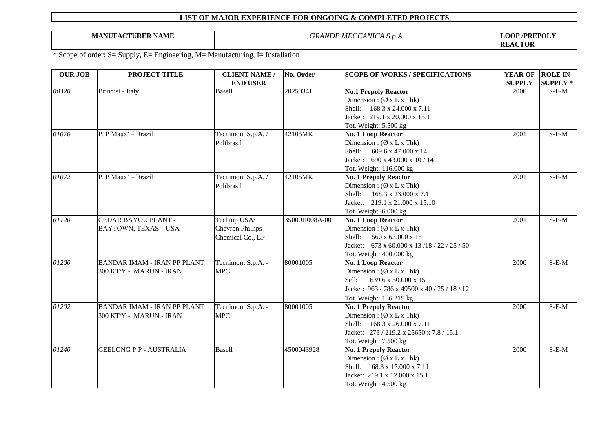**MANUFACTURER NAME** *GRANDE MECCANICA S.p.A*

**LOOP /PREPOLY REACTOR**

| <b>OUR JOB</b> | PROJECT TITLE                      | <b>CLIENT NAME /</b>    | No. Order     | <b>SCOPE OF WORKS / SPECIFICATIONS</b>        | <b>YEAR OF</b> | <b>ROLE IN</b>  |
|----------------|------------------------------------|-------------------------|---------------|-----------------------------------------------|----------------|-----------------|
|                |                                    | <b>END USER</b>         |               |                                               | <b>SUPPLY</b>  | <b>SUPPLY</b> * |
| 00320          | Brindisi - Italy                   | <b>Basell</b>           | 20250341      | <b>No.1 Prepoly Reactor</b>                   | 2000           | S-E-M           |
|                |                                    |                         |               | Dimension: $(\emptyset x L x Thk)$            |                |                 |
|                |                                    |                         |               | Shell: 168.3 x 24.000 x 7.11                  |                |                 |
|                |                                    |                         |               | Jacket: 219.1 x 20.000 x 15.1                 |                |                 |
|                |                                    |                         |               | Tot. Weight: 5.500 kg                         |                |                 |
| 01070          | P. P Maua' - Brazil                | Tecnimont S.p.A. /      | 42105MK       | <b>No. 1 Loop Reactor</b>                     | 2001           | $S-E-M$         |
|                |                                    | Polibrasil              |               | Dimension: $(\emptyset x L x Thk)$            |                |                 |
|                |                                    |                         |               | Shell:<br>609.6 x 47.000 x 14                 |                |                 |
|                |                                    |                         |               | Jacket: 690 x 43.000 x 10 / 14                |                |                 |
|                |                                    |                         |               | Tot. Weight: 116.000 kg                       |                |                 |
| 01072          | P. P Maua' - Brazil                | Tecnimont S.p.A. /      | 42105MK       | <b>No. 1 Prepoly Reactor</b>                  | 2001           | $S-E-M$         |
|                |                                    | Polibrasil              |               | Dimension: $(\emptyset x L x Thk)$            |                |                 |
|                |                                    |                         |               | Shell:<br>168.3 x 23.000 x 7.1                |                |                 |
|                |                                    |                         |               | Jacket: 219.1 x 21.000 x 15.10                |                |                 |
|                |                                    |                         |               | Tot. Weight: 6.000 kg                         |                |                 |
| 01120          | CEDAR BAYOU PLANT -                | Technip USA/            | 35000H008A-00 | <b>No. 1 Loop Reactor</b>                     | 2001           | $S-E-M$         |
|                | BAYTOWN, TEXAS - USA               | <b>Chevron Phillips</b> |               | Dimension: $(\emptyset x L x Thk)$            |                |                 |
|                |                                    | Chemical Co., LP        |               | 560 x 63.000 x 15<br>Shell:                   |                |                 |
|                |                                    |                         |               | Jacket: 673 x 60.000 x 13/18/22/25/50         |                |                 |
|                |                                    |                         |               | Tot. Weight: 400.000 kg                       |                |                 |
| 01200          | <b>BANDAR IMAM - IRAN PP PLANT</b> | Tecnimont S.p.A. -      | 80001005      | No. 1 Loop Reactor                            | 2000           | $S-E-M$         |
|                | 300 KT/Y - MARUN - IRAN            | <b>MPC</b>              |               | Dimension: $(\emptyset x L x Thk)$            |                |                 |
|                |                                    |                         |               | 639.6 x 50.000 x 15<br>Sell:                  |                |                 |
|                |                                    |                         |               | Jacket: 963 / 786 x 49500 x 40 / 25 / 18 / 12 |                |                 |
|                |                                    |                         |               | Tot. Weight: 186.215 kg                       |                |                 |
| 01202          | <b>BANDAR IMAM - IRAN PP PLANT</b> | Tecnimont S.p.A. -      | 80001005      | <b>No. 1 Prepoly Reactor</b>                  | 2000           | $S-E-M$         |
|                | 300 KT/Y - MARUN - IRAN            | <b>MPC</b>              |               | Dimension: $(\emptyset x L x Thk)$            |                |                 |
|                |                                    |                         |               | Shell: 168.3 x 26.000 x 7.11                  |                |                 |
|                |                                    |                         |               | Jacket: 273 / 219.2 x 25650 x 7.8 / 15.1      |                |                 |
|                |                                    |                         |               | Tot. Weight: 7.500 kg                         |                |                 |
| 01240          | <b>GEELONG P.P - AUSTRALIA</b>     | <b>Basell</b>           | 4500043928    | <b>No. 1 Prepoly Reactor</b>                  | 2000           | $S-E-M$         |
|                |                                    |                         |               | Dimension: $(\emptyset x L x Thk)$            |                |                 |
|                |                                    |                         |               | Shell: 168.3 x 15.000 x 7.11                  |                |                 |
|                |                                    |                         |               | Jacket: 219.1 x 12.000 x 15.1                 |                |                 |
|                |                                    |                         |               | Tot. Weight: 4.500 kg                         |                |                 |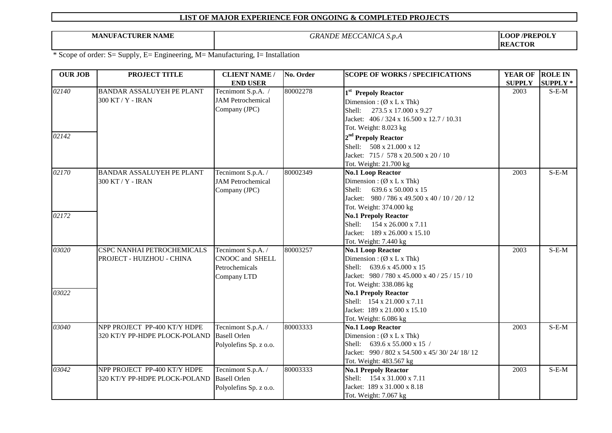**MANUFACTURER NAME** *GRANDE MECCANICA S.p.A*

**LOOP /PREPOLY REACTOR**

| <b>OUR JOB</b> | PROJECT TITLE                    | <b>CLIENT NAME /</b>                      | No. Order | <b>SCOPE OF WORKS / SPECIFICATIONS</b>                         | <b>YEAR OF</b> | <b>ROLE IN</b>  |
|----------------|----------------------------------|-------------------------------------------|-----------|----------------------------------------------------------------|----------------|-----------------|
|                |                                  | <b>END USER</b>                           |           |                                                                | <b>SUPPLY</b>  | <b>SUPPLY *</b> |
| 02140          | <b>BANDAR ASSALUYEH PE PLANT</b> | Tecnimont S.p.A. /                        | 80002278  | 1 <sup>st</sup> Prepoly Reactor                                | 2003           | $S-E-M$         |
|                | 300 KT / Y - IRAN                | <b>JAM</b> Petrochemical                  |           | Dimension: $(\emptyset x L x Thk)$                             |                |                 |
|                |                                  | Company (JPC)                             |           | Shell:<br>273.5 x 17.000 x 9.27                                |                |                 |
|                |                                  |                                           |           | Jacket: 406 / 324 x 16.500 x 12.7 / 10.31                      |                |                 |
|                |                                  |                                           |           | Tot. Weight: 8.023 kg                                          |                |                 |
| 02142          |                                  |                                           |           | 2 <sup>nd</sup> Prepoly Reactor                                |                |                 |
|                |                                  |                                           |           | Shell: 508 x 21.000 x 12                                       |                |                 |
|                |                                  |                                           |           | Jacket: 715 / 578 x 20.500 x 20 / 10                           |                |                 |
|                |                                  |                                           |           | Tot. Weight: 21.700 kg                                         |                |                 |
| 02170          | BANDAR ASSALUYEH PE PLANT        | Tecnimont S.p.A. /                        | 80002349  | <b>No.1 Loop Reactor</b>                                       | 2003           | $S-E-M$         |
|                | 300 KT / Y - IRAN                | <b>JAM</b> Petrochemical                  |           | Dimension: $(\emptyset x L x Thk)$                             |                |                 |
|                |                                  | Company (JPC)                             |           | Shell:<br>639.6 x 50.000 x 15                                  |                |                 |
|                |                                  |                                           |           | Jacket: 980 / 786 x 49.500 x 40 / 10 / 20 / 12                 |                |                 |
|                |                                  |                                           |           | Tot. Weight: 374.000 kg                                        |                |                 |
| 02172          |                                  |                                           |           | <b>No.1 Prepoly Reactor</b>                                    |                |                 |
|                |                                  |                                           |           | Shell:<br>154 x 26.000 x 7.11                                  |                |                 |
|                |                                  |                                           |           | Jacket: 189 x 26.000 x 15.10                                   |                |                 |
|                |                                  |                                           |           | Tot. Weight: 7.440 kg                                          |                |                 |
| 03020          | CSPC NANHAI PETROCHEMICALS       | Tecnimont S.p.A. /                        | 80003257  | <b>No.1 Loop Reactor</b>                                       | 2003           | $S-E-M$         |
|                | PROJECT - HUIZHOU - CHINA        | <b>CNOOC</b> and SHELL                    |           | Dimension: $(\emptyset x L x Thk)$                             |                |                 |
|                |                                  | Petrochemicals                            |           | Shell: 639.6 x 45.000 x 15                                     |                |                 |
|                |                                  | Company LTD                               |           | Jacket: 980 / 780 x 45.000 x 40 / 25 / 15 / 10                 |                |                 |
|                |                                  |                                           |           | Tot. Weight: 338.086 kg                                        |                |                 |
| 03022          |                                  |                                           |           | <b>No.1 Prepoly Reactor</b>                                    |                |                 |
|                |                                  |                                           |           | Shell: 154 x 21.000 x 7.11                                     |                |                 |
|                |                                  |                                           |           | Jacket: 189 x 21.000 x 15.10                                   |                |                 |
| 03040          | NPP PROJECT PP-400 KT/Y HDPE     |                                           | 80003333  | Tot. Weight: 6.086 kg                                          | 2003           | $S-E-M$         |
|                |                                  | Tecnimont S.p.A. /<br><b>Basell Orlen</b> |           | <b>No.1 Loop Reactor</b><br>Dimension: $(\emptyset x L x Thk)$ |                |                 |
|                | 320 KT/Y PP-HDPE PLOCK-POLAND    |                                           |           | Shell: 639.6 x 55.000 x 15 /                                   |                |                 |
|                |                                  | Polyolefins Sp. z o.o.                    |           | Jacket: 990 / 802 x 54.500 x 45/30/24/18/12                    |                |                 |
|                |                                  |                                           |           | Tot. Weight: 483.567 kg                                        |                |                 |
| 03042          | NPP PROJECT PP-400 KT/Y HDPE     | Tecnimont S.p.A. /                        | 80003333  | <b>No.1 Prepoly Reactor</b>                                    | 2003           | $S-E-M$         |
|                | 320 KT/Y PP-HDPE PLOCK-POLAND    | <b>Basell Orlen</b>                       |           | Shell: 154 x 31.000 x 7.11                                     |                |                 |
|                |                                  | Polyolefins Sp. z o.o.                    |           | Jacket: 189 x 31.000 x 8.18                                    |                |                 |
|                |                                  |                                           |           | Tot. Weight: 7.067 kg                                          |                |                 |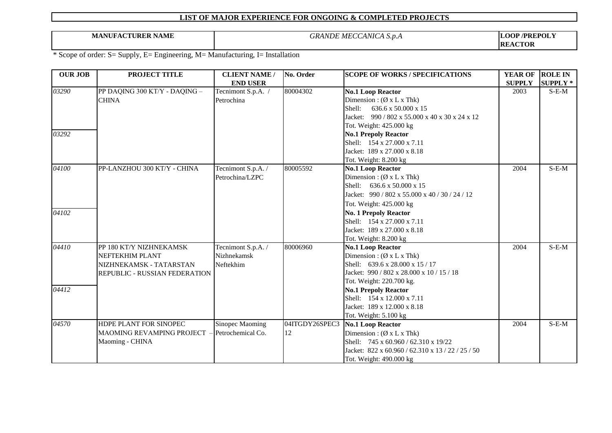**MANUFACTURER NAME** *GRANDE MECCANICA S.p.A*

**LOOP /PREPOLY REACTOR**

| <b>OUR JOB</b> | PROJECT TITLE                 | <b>CLIENT NAME /</b> | No. Order      | <b>SCOPE OF WORKS / SPECIFICATIONS</b>                | <b>YEAR OF</b> | <b>ROLE IN</b>  |
|----------------|-------------------------------|----------------------|----------------|-------------------------------------------------------|----------------|-----------------|
|                |                               | <b>END USER</b>      |                |                                                       | <b>SUPPLY</b>  | <b>SUPPLY</b> * |
| 03290          | PP DAQING 300 KT/Y - DAQING - | Tecnimont S.p.A. /   | 80004302       | <b>No.1 Loop Reactor</b>                              | 2003           | $S-E-M$         |
|                | <b>CHINA</b>                  | Petrochina           |                | Dimension: $(\emptyset x L x Thk)$                    |                |                 |
|                |                               |                      |                | 636.6 x 50.000 x 15<br>Shell:                         |                |                 |
|                |                               |                      |                | Jacket: 990 / 802 x 55.000 x 40 x 30 x 24 x 12        |                |                 |
|                |                               |                      |                | Tot. Weight: 425.000 kg                               |                |                 |
| 03292          |                               |                      |                | <b>No.1 Prepoly Reactor</b>                           |                |                 |
|                |                               |                      |                | Shell: 154 x 27.000 x 7.11                            |                |                 |
|                |                               |                      |                | Jacket: 189 x 27.000 x 8.18                           |                |                 |
|                |                               |                      |                | Tot. Weight: 8.200 kg                                 |                |                 |
| 04100          | PP-LANZHOU 300 KT/Y - CHINA   | Tecnimont S.p.A. /   | 80005592       | <b>No.1 Loop Reactor</b>                              | 2004           | $S-E-M$         |
|                |                               | Petrochina/LZPC      |                | Dimension: $(\emptyset x L x Thk)$                    |                |                 |
|                |                               |                      |                | Shell: 636.6 x 50.000 x 15                            |                |                 |
|                |                               |                      |                | Jacket: 990 / 802 x 55.000 x 40 / 30 / 24 / 12        |                |                 |
|                |                               |                      |                | Tot. Weight: 425.000 kg                               |                |                 |
| 04102          |                               |                      |                | <b>No. 1 Prepoly Reactor</b>                          |                |                 |
|                |                               |                      |                | Shell: 154 x 27.000 x 7.11                            |                |                 |
|                |                               |                      |                | Jacket: 189 x 27.000 x 8.18                           |                |                 |
|                |                               |                      |                | Tot. Weight: 8.200 kg                                 |                |                 |
| 04410          | PP 180 KT/Y NIZHNEKAMSK       | Tecnimont S.p.A. /   | 80006960       | <b>No.1 Loop Reactor</b>                              | 2004           | $S-E-M$         |
|                | NEFTEKHIM PLANT               | Nizhnekamsk          |                | Dimension: $(\emptyset x L x Thk)$                    |                |                 |
|                | NIZHNEKAMSK - TATARSTAN       | Neftekhim            |                | Shell: 639.6 x 28.000 x 15 / 17                       |                |                 |
|                | REPUBLIC - RUSSIAN FEDERATION |                      |                | Jacket: $990 / 802 \times 28.000 \times 10 / 15 / 18$ |                |                 |
|                |                               |                      |                | Tot. Weight: 220.700 kg.                              |                |                 |
| 04412          |                               |                      |                | <b>No.1 Prepoly Reactor</b>                           |                |                 |
|                |                               |                      |                | Shell: 154 x 12.000 x 7.11                            |                |                 |
|                |                               |                      |                | Jacket: 189 x 12.000 x 8.18                           |                |                 |
|                |                               |                      |                | Tot. Weight: 5.100 kg                                 |                |                 |
| 04570          | HDPE PLANT FOR SINOPEC        | Sinopec Maoming      | 04ITGDY26SPEC3 | <b>No.1 Loop Reactor</b>                              | 2004           | $S-E-M$         |
|                | MAOMING REVAMPING PROJECT     | Petrochemical Co.    | 12             | Dimension: $(\emptyset x L x Thk)$                    |                |                 |
|                | Maoming - CHINA               |                      |                | Shell: 745 x 60.960 / 62.310 x 19/22                  |                |                 |
|                |                               |                      |                | Jacket: 822 x 60.960 / 62.310 x 13 / 22 / 25 / 50     |                |                 |
|                |                               |                      |                | Tot. Weight: 490.000 kg                               |                |                 |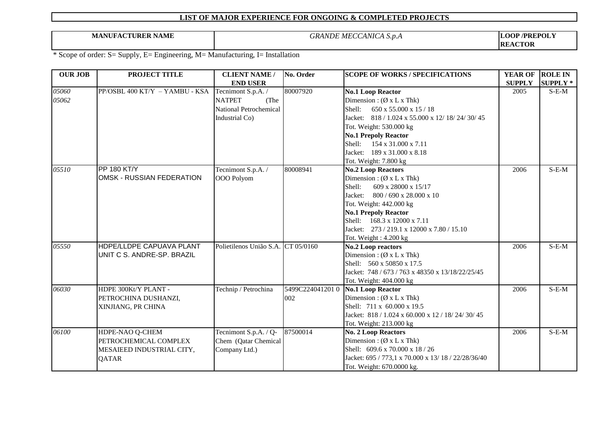**MANUFACTURER NAME** *GRANDE MECCANICA S.p.A*

**LOOP /PREPOLY REACTOR**

| <b>OUR JOB</b> | PROJECT TITLE                    | <b>CLIENT NAME /</b>               | No. Order       | <b>SCOPE OF WORKS / SPECIFICATIONS</b>              | <b>YEAR OF</b> | <b>ROLE IN</b>  |
|----------------|----------------------------------|------------------------------------|-----------------|-----------------------------------------------------|----------------|-----------------|
|                |                                  | <b>END USER</b>                    |                 |                                                     | <b>SUPPLY</b>  | <b>SUPPLY *</b> |
| 05060          | PP/OSBL 400 KT/Y - YAMBU - KSA   | Tecnimont S.p.A. /                 | 80007920        | <b>No.1 Loop Reactor</b>                            | 2005           | $S-E-M$         |
| 05062          |                                  | <b>NATPET</b><br>(The              |                 | Dimension: $(\emptyset x L x Thk)$                  |                |                 |
|                |                                  | <b>National Petrochemical</b>      |                 | Shell:<br>$650 \times 55.000 \times 15 / 18$        |                |                 |
|                |                                  | Industrial Co)                     |                 | Jacket: 818 / 1.024 x 55.000 x 12/ 18/ 24/ 30/ 45   |                |                 |
|                |                                  |                                    |                 | Tot. Weight: 530.000 kg                             |                |                 |
|                |                                  |                                    |                 | <b>No.1 Prepoly Reactor</b>                         |                |                 |
|                |                                  |                                    |                 | Shell: 154 x 31.000 x 7.11                          |                |                 |
|                |                                  |                                    |                 | Jacket: 189 x 31.000 x 8.18                         |                |                 |
|                |                                  |                                    |                 | Tot. Weight: 7.800 kg                               |                |                 |
| 05510          | PP 180 KT/Y                      | Tecnimont S.p.A. /                 | 80008941        | <b>No.2 Loop Reactors</b>                           | 2006           | $S-E-M$         |
|                | <b>OMSK - RUSSIAN FEDERATION</b> | OOO Polyom                         |                 | Dimension: $(\emptyset x L x Thk)$                  |                |                 |
|                |                                  |                                    |                 | Shell:<br>609 x 28000 x 15/17                       |                |                 |
|                |                                  |                                    |                 | Jacket:<br>$800 / 690 \times 28.000 \times 10$      |                |                 |
|                |                                  |                                    |                 | Tot. Weight: 442.000 kg                             |                |                 |
|                |                                  |                                    |                 | <b>No.1 Prepoly Reactor</b>                         |                |                 |
|                |                                  |                                    |                 | Shell: 168.3 x 12000 x 7.11                         |                |                 |
|                |                                  |                                    |                 | Jacket: 273 / 219.1 x 12000 x 7.80 / 15.10          |                |                 |
|                |                                  |                                    |                 | Tot. Weight: 4.200 kg                               |                |                 |
| 05550          | HDPE/LLDPE CAPUAVA PLANT         | Polietilenos União S.A. CT 05/0160 |                 | <b>No.2 Loop reactors</b>                           | 2006           | $S-E-M$         |
|                | UNIT C S. ANDRE-SP. BRAZIL       |                                    |                 | Dimension: $(\emptyset x L x Thk)$                  |                |                 |
|                |                                  |                                    |                 | Shell: 560 x 50850 x 17.5                           |                |                 |
|                |                                  |                                    |                 | Jacket: 748 / 673 / 763 x 48350 x 13/18/22/25/45    |                |                 |
|                |                                  |                                    |                 | Tot. Weight: 404.000 kg                             |                |                 |
| 06030          | HDPE 300Kt/Y PLANT -             | Technip / Petrochina               | 5499C2240412010 | <b>No.1 Loop Reactor</b>                            | 2006           | $S-E-M$         |
|                | PETROCHINA DUSHANZI,             |                                    | 002             | Dimension: $(\emptyset x L x Thk)$                  |                |                 |
|                | XINJIANG, PR CHINA               |                                    |                 | Shell: 711 x 60.000 x 19.5                          |                |                 |
|                |                                  |                                    |                 | Jacket: 818 / 1.024 x 60.000 x 12 / 18/ 24/ 30/ 45  |                |                 |
|                |                                  |                                    |                 | Tot. Weight: 213.000 kg                             |                |                 |
| 06100          | HDPE-NAO Q-CHEM                  | Tecnimont S.p.A. / Q-              | 87500014        | <b>No. 2 Loop Reactors</b>                          | 2006           | $S-E-M$         |
|                | PETROCHEMICAL COMPLEX            | Chem (Qatar Chemical               |                 | Dimension: $(\emptyset x L x Thk)$                  |                |                 |
|                | MESAIEED INDUSTRIAL CITY,        | Company Ltd.)                      |                 | Shell: 609.6 x 70.000 x 18 / 26                     |                |                 |
|                | <b>QATAR</b>                     |                                    |                 | Jacket: 695 / 773,1 x 70.000 x 13/ 18 / 22/28/36/40 |                |                 |
|                |                                  |                                    |                 | Tot. Weight: 670.0000 kg.                           |                |                 |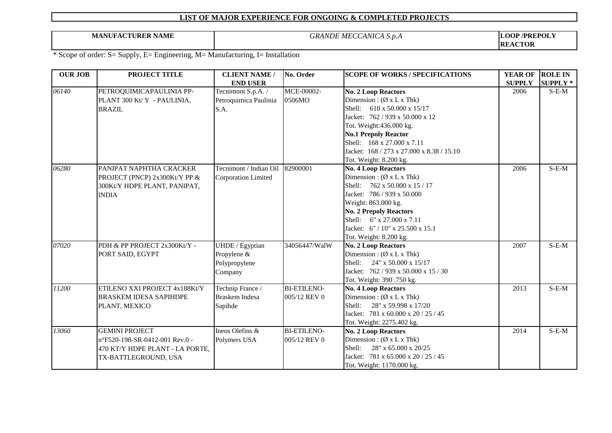**MANUFACTURER NAME** *GRANDE MECCANICA S.p.A*

**LOOP /PREPOLY REACTOR**

| <b>OUR JOB</b> | PROJECT TITLE                                           | <b>CLIENT NAME /</b>                        | No. Order            | <b>SCOPE OF WORKS / SPECIFICATIONS</b>                           | <b>YEAR OF</b> | <b>ROLE IN</b>  |
|----------------|---------------------------------------------------------|---------------------------------------------|----------------------|------------------------------------------------------------------|----------------|-----------------|
|                |                                                         | <b>END USER</b>                             |                      |                                                                  | <b>SUPPLY</b>  | <b>SUPPLY</b> * |
| 06140          | PETROQUIMICAPAULINIA PP-<br>PLANT 300 Kt/ Y - PAULINIA, | Tecnimont S.p.A. /<br>Petroquimica Paulinia | MCE-00002-<br>0506MO | <b>No. 2 Loop Reactors</b><br>Dimension: $(\emptyset x L x Thk)$ | 2006           | $S-E-M$         |
|                | <b>BRAZIL</b>                                           | S.A.                                        |                      | Shell: 610 x 50.000 x 15/17                                      |                |                 |
|                |                                                         |                                             |                      | Jacket: 762 / 939 x 50.000 x 12                                  |                |                 |
|                |                                                         |                                             |                      | Tot. Weight:436.000 kg.                                          |                |                 |
|                |                                                         |                                             |                      | <b>No.1 Prepoly Reactor</b>                                      |                |                 |
|                |                                                         |                                             |                      | Shell: 168 x 27.000 x 7.11                                       |                |                 |
|                |                                                         |                                             |                      | Jacket: 168 / 273 x 27.000 x 8.38 / 15.10                        |                |                 |
|                |                                                         |                                             |                      | Tot. Weight: 8.200 kg.                                           |                |                 |
| 06280          | PANIPAT NAPHTHA CRACKER                                 | Tecnimont / Indian Oil                      | 82900001             | <b>No. 4 Loop Reactors</b>                                       | 2006           | $S-E-M$         |
|                | PROJECT (PNCP) 2x300Kt/Y PP &                           | <b>Corporation Limited</b>                  |                      | Dimension: $(\emptyset x L x Thk)$                               |                |                 |
|                | 300Kt/Y HDPE PLANT, PANIPAT,                            |                                             |                      | Shell: 762 x 50.000 x 15 / 17                                    |                |                 |
|                | <b>INDIA</b>                                            |                                             |                      | Jacket: 786 / 939 x 50.000                                       |                |                 |
|                |                                                         |                                             |                      | Weight: 863.000 kg.                                              |                |                 |
|                |                                                         |                                             |                      | <b>No. 2 Prepoly Reactors</b><br>Shell: 6" x 27.000 x 7.11       |                |                 |
|                |                                                         |                                             |                      | Jacket: 6" / 10" x 25.500 x 15.1                                 |                |                 |
|                |                                                         |                                             |                      | Tot. Weight: 8.200 kg.                                           |                |                 |
| 07020          | PDH & PP PROJECT 2x300Kt/Y -                            | UHDE / Egyptian                             | 34056447/WalW        | No. 2 Loop Reactors                                              | 2007           | $S-E-M$         |
|                | PORT SAID, EGYPT                                        | Propylene &                                 |                      | Dimension: $(\emptyset x L x Thk)$                               |                |                 |
|                |                                                         | Polypropylene                               |                      | $24''$ x 50.000 x 15/17<br>Shell:                                |                |                 |
|                |                                                         | Company                                     |                      | Jacket: 762 / 939 x 50.000 x 15 / 30                             |                |                 |
|                |                                                         |                                             |                      | Tot. Weight: 390 .750 kg.                                        |                |                 |
| 11200          | ETILENO XXI PROJECT 4x188Kt/Y                           | Technip France /                            | <b>BI-ETILENO-</b>   | <b>No. 4 Loop Reactors</b>                                       | 2013           | $S-E-M$         |
|                | <b>BRASKEM IDESA SAPIHDPE</b>                           | <b>Braskem Indesa</b>                       | 005/12 REV 0         | Dimension: $(\emptyset x L x Thk)$                               |                |                 |
|                | PLANT, MEXICO                                           | Sapihde                                     |                      | Shell:<br>28" x 59.998 x 17/20                                   |                |                 |
|                |                                                         |                                             |                      | Jacket: 781 x 60.000 x 20 / 25 / 45                              |                |                 |
|                |                                                         |                                             |                      | Tot. Weight: 2275.402 kg.                                        |                |                 |
| 13060          | <b>GEMINI PROJECT</b>                                   | Ineos Olefins &                             | <b>BI-ETILENO-</b>   | <b>No. 2 Loop Reactors</b>                                       | 2014           | $S-E-M$         |
|                | n°F520-198-SR-0412-001 Rev.0 -                          | Polymers USA                                | 005/12 REV 0         | Dimension: $(\emptyset x L x Thk)$                               |                |                 |
|                | 470 KT/Y HDPE PLANT - LA PORTE,                         |                                             |                      | Shell:<br>28" x 65.000 x 20/25                                   |                |                 |
|                | TX-BATTLEGROUND, USA                                    |                                             |                      | Jacket: 781 x 65.000 x 20 / 25 / 45                              |                |                 |
|                |                                                         |                                             |                      | Tot. Weight: 1170.000 kg.                                        |                |                 |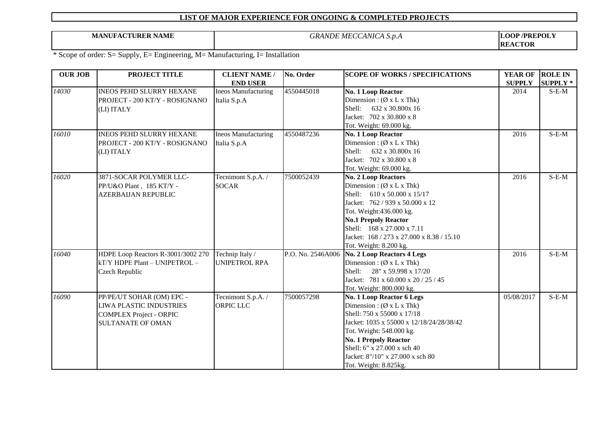**MANUFACTURER NAME** *GRANDE MECCANICA S.p.A*

**LOOP /PREPOLY REACTOR**

| <b>OUR JOB</b> | PROJECT TITLE                      | <b>CLIENT NAME /</b>       | No. Order         | <b>SCOPE OF WORKS / SPECIFICATIONS</b>    | <b>YEAR OF</b> | <b>ROLE IN</b>  |
|----------------|------------------------------------|----------------------------|-------------------|-------------------------------------------|----------------|-----------------|
|                |                                    | <b>END USER</b>            |                   |                                           | <b>SUPPLY</b>  | <b>SUPPLY</b> * |
| 14030          | INEOS PEHD SLURRY HEXANE           | <b>Ineos Manufacturing</b> | 4550445018        | No. 1 Loop Reactor                        | 2014           | $S-E-M$         |
|                | PROJECT - 200 KT/Y - ROSIGNANO     | Italia S.p.A               |                   | Dimension: $(\emptyset x L x Thk)$        |                |                 |
|                | (LI) ITALY                         |                            |                   | Shell: 632 x 30.800x 16                   |                |                 |
|                |                                    |                            |                   | Jacket: 702 x 30.800 x 8                  |                |                 |
|                |                                    |                            |                   | Tot. Weight: 69.000 kg.                   |                |                 |
| 16010          | <b>INEOS PEHD SLURRY HEXANE</b>    | <b>Ineos Manufacturing</b> | 4550487236        | No. 1 Loop Reactor                        | 2016           | $S-E-M$         |
|                | PROJECT - 200 KT/Y - ROSIGNANO     | Italia S.p.A               |                   | Dimension: $(\emptyset x L x Thk)$        |                |                 |
|                | (LI) ITALY                         |                            |                   | Shell:<br>632 x 30.800x 16                |                |                 |
|                |                                    |                            |                   | Jacket: 702 x 30.800 x 8                  |                |                 |
|                |                                    |                            |                   | Tot. Weight: 69.000 kg.                   |                |                 |
| 16020          | 3871-SOCAR POLYMER LLC-            | Tecnimont S.p.A. /         | 7500052439        | <b>No. 2 Loop Reactors</b>                | 2016           | $S-E-M$         |
|                | PP/U&O Plant, 185 KT/Y -           | <b>SOCAR</b>               |                   | Dimension: $(\emptyset x L x Thk)$        |                |                 |
|                | <b>AZERBAIJAN REPUBLIC</b>         |                            |                   | Shell: 610 x 50.000 x 15/17               |                |                 |
|                |                                    |                            |                   | Jacket: 762 / 939 x 50.000 x 12           |                |                 |
|                |                                    |                            |                   | Tot. Weight:436.000 kg.                   |                |                 |
|                |                                    |                            |                   | <b>No.1 Prepoly Reactor</b>               |                |                 |
|                |                                    |                            |                   | Shell: 168 x 27.000 x 7.11                |                |                 |
|                |                                    |                            |                   | Jacket: 168 / 273 x 27.000 x 8.38 / 15.10 |                |                 |
|                |                                    |                            |                   | Tot. Weight: 8.200 kg.                    |                |                 |
| 16040          | HDPE Loop Reactors R-3001/3002 270 | Technip Italy /            | P.O. No. 2546A006 | <b>No. 2 Loop Reactors 4 Legs</b>         | 2016           | $S-E-M$         |
|                | kT/Y HDPE Plant - UNIPETROL -      | <b>UNIPETROL RPA</b>       |                   | Dimension: $(\emptyset x L x Thk)$        |                |                 |
|                | Czech Republic                     |                            |                   | Shell: 28" x 59.998 x 17/20               |                |                 |
|                |                                    |                            |                   | Jacket: 781 x 60.000 x 20 / 25 / 45       |                |                 |
|                |                                    |                            |                   | Tot. Weight: 800.000 kg.                  |                |                 |
| 16090          | PP/PE/UT SOHAR (OM) EPC -          | Tecnimont S.p.A. /         | 7500057298        | No. 1 Loop Reactor 6 Legs                 | 05/08/2017     | $S-E-M$         |
|                | <b>LIWA PLASTIC INDUSTRIES</b>     | <b>ORPIC LLC</b>           |                   | Dimension: $(\emptyset x L x Thk)$        |                |                 |
|                | <b>COMPLEX Project - ORPIC</b>     |                            |                   | Shell: 750 x 55000 x 17/18                |                |                 |
|                | <b>SULTANATE OF OMAN</b>           |                            |                   | Jacket: 1035 x 55000 x 12/18/24/28/38/42  |                |                 |
|                |                                    |                            |                   | Tot. Weight: 548.000 kg.                  |                |                 |
|                |                                    |                            |                   | <b>No. 1 Prepoly Reactor</b>              |                |                 |
|                |                                    |                            |                   | Shell: 6" x 27.000 x sch 40               |                |                 |
|                |                                    |                            |                   | Jacket: 8"/10" x 27.000 x sch 80          |                |                 |
|                |                                    |                            |                   | Tot. Weight: 8.825kg.                     |                |                 |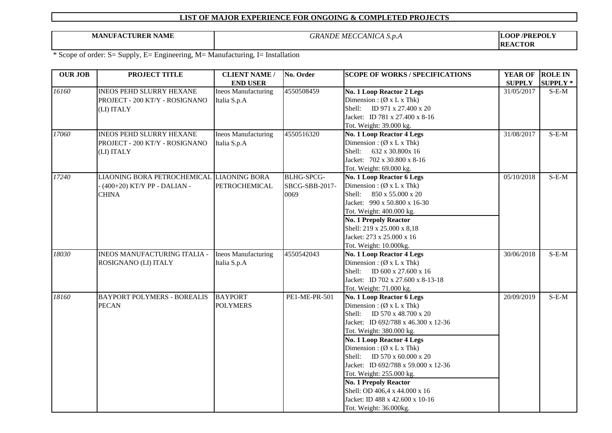**MANUFACTURER NAME** *GRANDE MECCANICA S.p.A*

**LOOP /PREPOLY REACTOR**

| <b>OUR JOB</b> | PROJECT TITLE                             | <b>CLIENT NAME /</b>       | No. Order         | <b>SCOPE OF WORKS / SPECIFICATIONS</b> | <b>YEAR OF</b> | <b>ROLE IN</b>  |
|----------------|-------------------------------------------|----------------------------|-------------------|----------------------------------------|----------------|-----------------|
|                |                                           | <b>END USER</b>            |                   |                                        | <b>SUPPLY</b>  | <b>SUPPLY</b> * |
| 16160          | INEOS PEHD SLURRY HEXANE                  | <b>Ineos Manufacturing</b> | 4550508459        | <b>No. 1 Loop Reactor 2 Legs</b>       | 31/05/2017     | $S-E-M$         |
|                | PROJECT - 200 KT/Y - ROSIGNANO            | Italia S.p.A               |                   | Dimension: $(\emptyset x L x Thk)$     |                |                 |
|                | (LI) ITALY                                |                            |                   | Shell: ID 971 x 27.400 x 20            |                |                 |
|                |                                           |                            |                   | Jacket: ID 781 x 27.400 x 8-16         |                |                 |
|                |                                           |                            |                   | Tot. Weight: 39.000 kg.                |                |                 |
| 17060          | <b>INEOS PEHD SLURRY HEXANE</b>           | <b>Ineos Manufacturing</b> | 4550516320        | No. 1 Loop Reactor 4 Legs              | 31/08/2017     | $S-E-M$         |
|                | PROJECT - 200 KT/Y - ROSIGNANO            | Italia S.p.A               |                   | Dimension: $(\emptyset x L x Thk)$     |                |                 |
|                | (LI) ITALY                                |                            |                   | Shell: 632 x 30.800x 16                |                |                 |
|                |                                           |                            |                   | Jacket: 702 x 30.800 x 8-16            |                |                 |
|                |                                           |                            |                   | Tot. Weight: 69.000 kg.                |                |                 |
| 17240          | LIAONING BORA PETROCHEMICAL LIAONING BORA |                            | <b>BLHG-SPCG-</b> | No. 1 Loop Reactor 6 Legs              | 05/10/2018     | $S-E-M$         |
|                | (400+20) KT/Y PP - DALIAN -               | <b>PETROCHEMICAL</b>       | SBCG-SBB-2017-    | Dimension: $(\emptyset x L x Thk)$     |                |                 |
|                | <b>CHINA</b>                              |                            | 0069              | Shell: 850 x 55.000 x 20               |                |                 |
|                |                                           |                            |                   | Jacket: 990 x 50.800 x 16-30           |                |                 |
|                |                                           |                            |                   | Tot. Weight: 400.000 kg.               |                |                 |
|                |                                           |                            |                   | <b>No. 1 Prepoly Reactor</b>           |                |                 |
|                |                                           |                            |                   | Shell: 219 x 25.000 x 8,18             |                |                 |
|                |                                           |                            |                   | Jacket: 273 x 25.000 x 16              |                |                 |
|                |                                           |                            |                   | Tot. Weight: 10.000kg.                 |                |                 |
| 18030          | <b>INEOS MANUFACTURING ITALIA -</b>       | <b>Ineos Manufacturing</b> | 4550542043        | <b>No. 1 Loop Reactor 4 Legs</b>       | 30/06/2018     | $S-E-M$         |
|                | ROSIGNANO (LI) ITALY                      | Italia S.p.A               |                   | Dimension: $(\emptyset x L x Thk)$     |                |                 |
|                |                                           |                            |                   | Shell: ID 600 x 27.600 x 16            |                |                 |
|                |                                           |                            |                   | Jacket: ID 702 x 27.600 x 8-13-18      |                |                 |
|                |                                           |                            |                   | Tot. Weight: 71.000 kg.                |                |                 |
| 18160          | <b>BAYPORT POLYMERS - BOREALIS</b>        | <b>BAYPORT</b>             | PE1-ME-PR-501     | No. 1 Loop Reactor 6 Legs              | 20/09/2019     | $S-E-M$         |
|                | <b>PECAN</b>                              | <b>POLYMERS</b>            |                   | Dimension: $(\emptyset x L x Thk)$     |                |                 |
|                |                                           |                            |                   | Shell: ID 570 x 48.700 x 20            |                |                 |
|                |                                           |                            |                   | Jacket: ID 692/788 x 46.300 x 12-36    |                |                 |
|                |                                           |                            |                   | Tot. Weight: 380.000 kg.               |                |                 |
|                |                                           |                            |                   | <b>No. 1 Loop Reactor 4 Legs</b>       |                |                 |
|                |                                           |                            |                   | Dimension: $(\emptyset x L x Thk)$     |                |                 |
|                |                                           |                            |                   | Shell: ID 570 x 60.000 x 20            |                |                 |
|                |                                           |                            |                   | Jacket: ID 692/788 x 59.000 x 12-36    |                |                 |
|                |                                           |                            |                   | Tot. Weight: 255.000 kg.               |                |                 |
|                |                                           |                            |                   | <b>No. 1 Prepoly Reactor</b>           |                |                 |
|                |                                           |                            |                   | Shell: OD 406,4 x 44.000 x 16          |                |                 |
|                |                                           |                            |                   | Jacket: ID 488 x 42.600 x 10-16        |                |                 |
|                |                                           |                            |                   | Tot. Weight: 36.000kg.                 |                |                 |